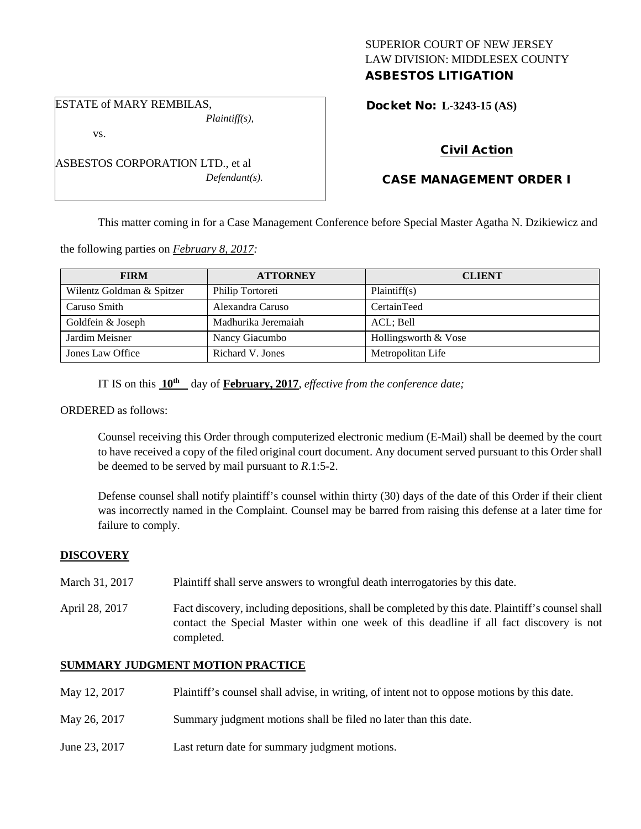## SUPERIOR COURT OF NEW JERSEY LAW DIVISION: MIDDLESEX COUNTY ASBESTOS LITIGATION

ESTATE of MARY REMBILAS,

*Plaintiff(s),*

vs.

ASBESTOS CORPORATION LTD., et al *Defendant(s).* Docket No: **L-3243-15 (AS)** 

# Civil Action

# CASE MANAGEMENT ORDER I

This matter coming in for a Case Management Conference before Special Master Agatha N. Dzikiewicz and

the following parties on *February 8, 2017:*

| <b>FIRM</b>               | <b>ATTORNEY</b>     | <b>CLIENT</b>        |
|---------------------------|---------------------|----------------------|
| Wilentz Goldman & Spitzer | Philip Tortoreti    | Plaintiff(s)         |
| Caruso Smith              | Alexandra Caruso    | CertainTeed          |
| Goldfein & Joseph         | Madhurika Jeremaiah | ACL; Bell            |
| Jardim Meisner            | Nancy Giacumbo      | Hollingsworth & Vose |
| Jones Law Office          | Richard V. Jones    | Metropolitan Life    |

IT IS on this **10th** day of **February, 2017**, *effective from the conference date;*

ORDERED as follows:

Counsel receiving this Order through computerized electronic medium (E-Mail) shall be deemed by the court to have received a copy of the filed original court document. Any document served pursuant to this Order shall be deemed to be served by mail pursuant to *R*.1:5-2.

Defense counsel shall notify plaintiff's counsel within thirty (30) days of the date of this Order if their client was incorrectly named in the Complaint. Counsel may be barred from raising this defense at a later time for failure to comply.

## **DISCOVERY**

- March 31, 2017 Plaintiff shall serve answers to wrongful death interrogatories by this date.
- April 28, 2017 Fact discovery, including depositions, shall be completed by this date. Plaintiff's counsel shall contact the Special Master within one week of this deadline if all fact discovery is not completed.

## **SUMMARY JUDGMENT MOTION PRACTICE**

- May 12, 2017 Plaintiff's counsel shall advise, in writing, of intent not to oppose motions by this date.
- May 26, 2017 Summary judgment motions shall be filed no later than this date.
- June 23, 2017 Last return date for summary judgment motions.